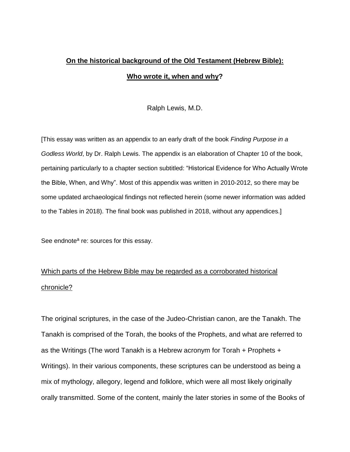# **On the historical background of the Old Testament (Hebrew Bible): Who wrote it, when and why?**

Ralph Lewis, M.D.

[This essay was written as an appendix to an early draft of the book *Finding Purpose in a Godless World*, by Dr. Ralph Lewis. The appendix is an elaboration of Chapter 10 of the book, pertaining particularly to a chapter section subtitled: "Historical Evidence for Who Actually Wrote the Bible, When, and Why". Most of this appendix was written in 2010-2012, so there may be some updated archaeological findings not reflected herein (some newer information was added to the Tables in 2018). The final book was published in 2018, without any appendices.]

See endnote<sup>a</sup> re: sources for this essay.

# Which parts of the Hebrew Bible may be regarded as a corroborated historical chronicle?

The original scriptures, in the case of the Judeo-Christian canon, are the Tanakh. The Tanakh is comprised of the Torah, the books of the Prophets, and what are referred to as the Writings (The word Tanakh is a Hebrew acronym for Torah + Prophets + Writings). In their various components, these scriptures can be understood as being a mix of mythology, allegory, legend and folklore, which were all most likely originally orally transmitted. Some of the content, mainly the later stories in some of the Books of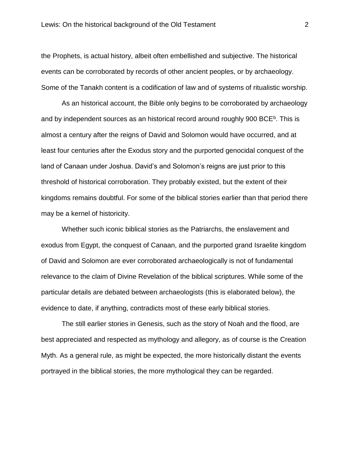the Prophets, is actual history, albeit often embellished and subjective. The historical events can be corroborated by records of other ancient peoples, or by archaeology. Some of the Tanakh content is a codification of law and of systems of ritualistic worship.

As an historical account, the Bible only begins to be corroborated by archaeology and by independent sources as an historical record around roughly 900 BCE<sup>b</sup>. This is almost a century after the reigns of David and Solomon would have occurred, and at least four centuries after the Exodus story and the purported genocidal conquest of the land of Canaan under Joshua. David's and Solomon's reigns are just prior to this threshold of historical corroboration. They probably existed, but the extent of their kingdoms remains doubtful. For some of the biblical stories earlier than that period there may be a kernel of historicity.

Whether such iconic biblical stories as the Patriarchs, the enslavement and exodus from Egypt, the conquest of Canaan, and the purported grand Israelite kingdom of David and Solomon are ever corroborated archaeologically is not of fundamental relevance to the claim of Divine Revelation of the biblical scriptures. While some of the particular details are debated between archaeologists (this is elaborated below), the evidence to date, if anything, contradicts most of these early biblical stories.

The still earlier stories in Genesis, such as the story of Noah and the flood, are best appreciated and respected as mythology and allegory, as of course is the Creation Myth. As a general rule, as might be expected, the more historically distant the events portrayed in the biblical stories, the more mythological they can be regarded.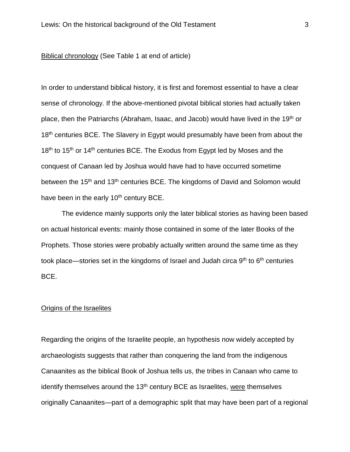#### Biblical chronology (See Table 1 at end of article)

In order to understand biblical history, it is first and foremost essential to have a clear sense of chronology. If the above-mentioned pivotal biblical stories had actually taken place, then the Patriarchs (Abraham, Isaac, and Jacob) would have lived in the 19<sup>th</sup> or 18<sup>th</sup> centuries BCE. The Slavery in Egypt would presumably have been from about the  $18<sup>th</sup>$  to  $15<sup>th</sup>$  or  $14<sup>th</sup>$  centuries BCE. The Exodus from Egypt led by Moses and the conquest of Canaan led by Joshua would have had to have occurred sometime between the 15<sup>th</sup> and 13<sup>th</sup> centuries BCE. The kingdoms of David and Solomon would have been in the early 10<sup>th</sup> century BCE.

The evidence mainly supports only the later biblical stories as having been based on actual historical events: mainly those contained in some of the later Books of the Prophets. Those stories were probably actually written around the same time as they took place—stories set in the kingdoms of Israel and Judah circa  $9<sup>th</sup>$  to  $6<sup>th</sup>$  centuries BCE.

### Origins of the Israelites

Regarding the origins of the Israelite people, an hypothesis now widely accepted by archaeologists suggests that rather than conquering the land from the indigenous Canaanites as the biblical Book of Joshua tells us, the tribes in Canaan who came to identify themselves around the  $13<sup>th</sup>$  century BCE as Israelites, were themselves originally Canaanites—part of a demographic split that may have been part of a regional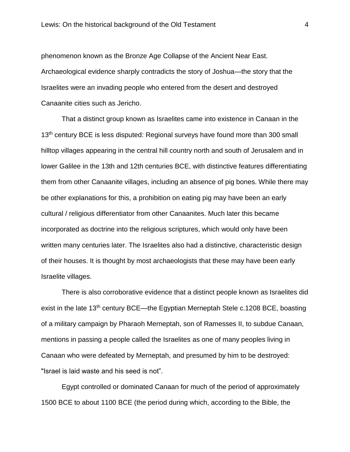phenomenon known as the Bronze Age Collapse of the Ancient Near East. Archaeological evidence sharply contradicts the story of Joshua—the story that the Israelites were an invading people who entered from the desert and destroyed Canaanite cities such as Jericho.

That a distinct group known as Israelites came into existence in Canaan in the 13<sup>th</sup> century BCE is less disputed: Regional surveys have found more than 300 small hilltop villages appearing in the central hill country north and south of Jerusalem and in lower Galilee in the 13th and 12th centuries BCE, with distinctive features differentiating them from other Canaanite villages, including an absence of pig bones. While there may be other explanations for this, a prohibition on eating pig may have been an early cultural / religious differentiator from other Canaanites. Much later this became incorporated as doctrine into the religious scriptures, which would only have been written many centuries later. The Israelites also had a distinctive, characteristic design of their houses. It is thought by most archaeologists that these may have been early Israelite villages.

There is also corroborative evidence that a distinct people known as Israelites did exist in the late 13<sup>th</sup> century BCE—the Egyptian Merneptah Stele c.1208 BCE, boasting of a military campaign by Pharaoh Merneptah, son of Ramesses II, to subdue Canaan, mentions in passing a people called the Israelites as one of many peoples living in Canaan who were defeated by Merneptah, and presumed by him to be destroyed: "Israel is laid waste and his seed is not".

Egypt controlled or dominated Canaan for much of the period of approximately 1500 BCE to about 1100 BCE (the period during which, according to the Bible, the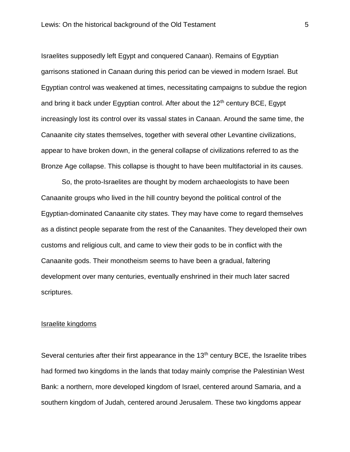Israelites supposedly left Egypt and conquered Canaan). Remains of Egyptian garrisons stationed in Canaan during this period can be viewed in modern Israel. But Egyptian control was weakened at times, necessitating campaigns to subdue the region and bring it back under Egyptian control. After about the  $12<sup>th</sup>$  century BCE, Egypt increasingly lost its control over its vassal states in Canaan. Around the same time, the Canaanite city states themselves, together with several other Levantine civilizations, appear to have broken down, in the general collapse of civilizations referred to as the Bronze Age collapse. This collapse is thought to have been multifactorial in its causes.

So, the proto-Israelites are thought by modern archaeologists to have been Canaanite groups who lived in the hill country beyond the political control of the Egyptian-dominated Canaanite city states. They may have come to regard themselves as a distinct people separate from the rest of the Canaanites. They developed their own customs and religious cult, and came to view their gods to be in conflict with the Canaanite gods. Their monotheism seems to have been a gradual, faltering development over many centuries, eventually enshrined in their much later sacred scriptures.

### Israelite kingdoms

Several centuries after their first appearance in the 13<sup>th</sup> century BCE, the Israelite tribes had formed two kingdoms in the lands that today mainly comprise the Palestinian West Bank: a northern, more developed kingdom of Israel, centered around Samaria, and a southern kingdom of Judah, centered around Jerusalem. These two kingdoms appear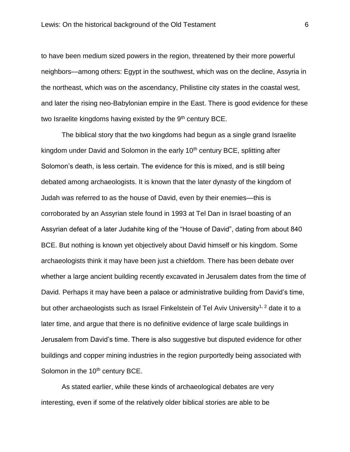to have been medium sized powers in the region, threatened by their more powerful neighbors—among others: Egypt in the southwest, which was on the decline, Assyria in the northeast, which was on the ascendancy, Philistine city states in the coastal west, and later the rising neo-Babylonian empire in the East. There is good evidence for these two Israelite kingdoms having existed by the 9<sup>th</sup> century BCE.

The biblical story that the two kingdoms had begun as a single grand Israelite kingdom under David and Solomon in the early 10<sup>th</sup> century BCE, splitting after Solomon's death, is less certain. The evidence for this is mixed, and is still being debated among archaeologists. It is known that the later dynasty of the kingdom of Judah was referred to as the house of David, even by their enemies—this is corroborated by an Assyrian stele found in 1993 at Tel Dan in Israel boasting of an Assyrian defeat of a later Judahite king of the "House of David", dating from about 840 BCE. But nothing is known yet objectively about David himself or his kingdom. Some archaeologists think it may have been just a chiefdom. There has been debate over whether a large ancient building recently excavated in Jerusalem dates from the time of David. Perhaps it may have been a palace or administrative building from David's time, but other archaeologists such as Israel Finkelstein of Tel Aviv University<sup>1, 2</sup> date it to a later time, and argue that there is no definitive evidence of large scale buildings in Jerusalem from David's time. There is also suggestive but disputed evidence for other buildings and copper mining industries in the region purportedly being associated with Solomon in the 10<sup>th</sup> century BCE.

As stated earlier, while these kinds of archaeological debates are very interesting, even if some of the relatively older biblical stories are able to be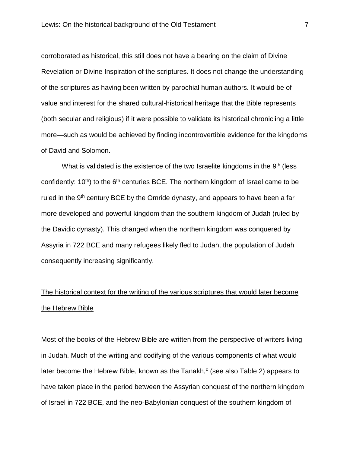corroborated as historical, this still does not have a bearing on the claim of Divine Revelation or Divine Inspiration of the scriptures. It does not change the understanding of the scriptures as having been written by parochial human authors. It would be of value and interest for the shared cultural-historical heritage that the Bible represents (both secular and religious) if it were possible to validate its historical chronicling a little more—such as would be achieved by finding incontrovertible evidence for the kingdoms of David and Solomon.

What is validated is the existence of the two Israelite kingdoms in the  $9<sup>th</sup>$  (less confidently:  $10<sup>th</sup>$ ) to the  $6<sup>th</sup>$  centuries BCE. The northern kingdom of Israel came to be ruled in the 9<sup>th</sup> century BCE by the Omride dynasty, and appears to have been a far more developed and powerful kingdom than the southern kingdom of Judah (ruled by the Davidic dynasty). This changed when the northern kingdom was conquered by Assyria in 722 BCE and many refugees likely fled to Judah, the population of Judah consequently increasing significantly.

# The historical context for the writing of the various scriptures that would later become the Hebrew Bible

Most of the books of the Hebrew Bible are written from the perspective of writers living in Judah. Much of the writing and codifying of the various components of what would later become the Hebrew Bible, known as the Tanakh, $c$  (see also Table 2) appears to have taken place in the period between the Assyrian conquest of the northern kingdom of Israel in 722 BCE, and the neo-Babylonian conquest of the southern kingdom of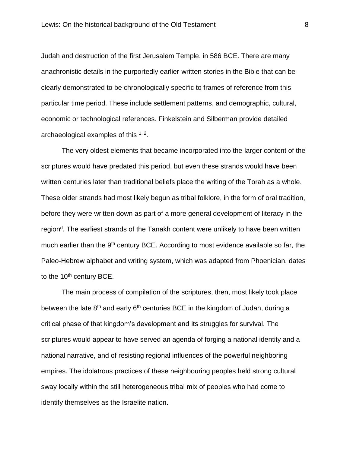Judah and destruction of the first Jerusalem Temple, in 586 BCE. There are many anachronistic details in the purportedly earlier-written stories in the Bible that can be clearly demonstrated to be chronologically specific to frames of reference from this particular time period. These include settlement patterns, and demographic, cultural, economic or technological references. Finkelstein and Silberman provide detailed archaeological examples of this  $1, 2$ .

The very oldest elements that became incorporated into the larger content of the scriptures would have predated this period, but even these strands would have been written centuries later than traditional beliefs place the writing of the Torah as a whole. These older strands had most likely begun as tribal folklore, in the form of oral tradition, before they were written down as part of a more general development of literacy in the region<sup>d</sup>. The earliest strands of the Tanakh content were unlikely to have been written much earlier than the 9<sup>th</sup> century BCE. According to most evidence available so far, the Paleo-Hebrew alphabet and writing system, which was adapted from Phoenician, dates to the 10<sup>th</sup> century BCE.

The main process of compilation of the scriptures, then, most likely took place between the late  $8<sup>th</sup>$  and early  $6<sup>th</sup>$  centuries BCE in the kingdom of Judah, during a critical phase of that kingdom's development and its struggles for survival. The scriptures would appear to have served an agenda of forging a national identity and a national narrative, and of resisting regional influences of the powerful neighboring empires. The idolatrous practices of these neighbouring peoples held strong cultural sway locally within the still heterogeneous tribal mix of peoples who had come to identify themselves as the Israelite nation.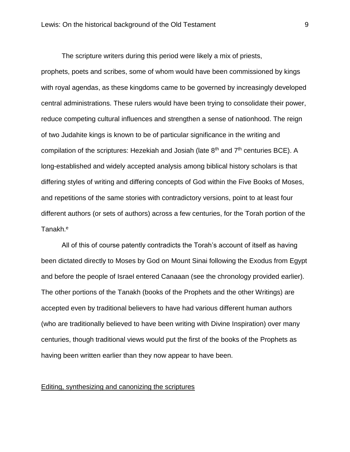The scripture writers during this period were likely a mix of priests, prophets, poets and scribes, some of whom would have been commissioned by kings with royal agendas, as these kingdoms came to be governed by increasingly developed central administrations. These rulers would have been trying to consolidate their power, reduce competing cultural influences and strengthen a sense of nationhood. The reign of two Judahite kings is known to be of particular significance in the writing and compilation of the scriptures: Hezekiah and Josiah (late  $8<sup>th</sup>$  and  $7<sup>th</sup>$  centuries BCE). A long-established and widely accepted analysis among biblical history scholars is that differing styles of writing and differing concepts of God within the Five Books of Moses, and repetitions of the same stories with contradictory versions, point to at least four different authors (or sets of authors) across a few centuries, for the Torah portion of the Tanakh.<sup>e</sup>

All of this of course patently contradicts the Torah's account of itself as having been dictated directly to Moses by God on Mount Sinai following the Exodus from Egypt and before the people of Israel entered Canaaan (see the chronology provided earlier). The other portions of the Tanakh (books of the Prophets and the other Writings) are accepted even by traditional believers to have had various different human authors (who are traditionally believed to have been writing with Divine Inspiration) over many centuries, though traditional views would put the first of the books of the Prophets as having been written earlier than they now appear to have been.

#### Editing, synthesizing and canonizing the scriptures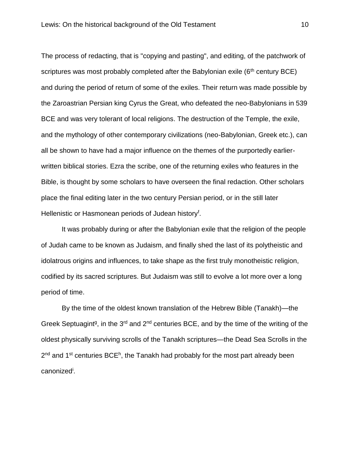The process of redacting, that is "copying and pasting", and editing, of the patchwork of scriptures was most probably completed after the Babylonian exile  $(6<sup>th</sup>$  century BCE) and during the period of return of some of the exiles. Their return was made possible by the Zaroastrian Persian king Cyrus the Great, who defeated the neo-Babylonians in 539 BCE and was very tolerant of local religions. The destruction of the Temple, the exile, and the mythology of other contemporary civilizations (neo-Babylonian, Greek etc.), can all be shown to have had a major influence on the themes of the purportedly earlierwritten biblical stories. Ezra the scribe, one of the returning exiles who features in the Bible, is thought by some scholars to have overseen the final redaction. Other scholars place the final editing later in the two century Persian period, or in the still later Hellenistic or Hasmonean periods of Judean history<sup>f</sup>.

It was probably during or after the Babylonian exile that the religion of the people of Judah came to be known as Judaism, and finally shed the last of its polytheistic and idolatrous origins and influences, to take shape as the first truly monotheistic religion, codified by its sacred scriptures. But Judaism was still to evolve a lot more over a long period of time.

By the time of the oldest known translation of the Hebrew Bible (Tanakh)—the Greek Septuagint<sup>g</sup>, in the 3<sup>rd</sup> and 2<sup>nd</sup> centuries BCE, and by the time of the writing of the oldest physically surviving scrolls of the Tanakh scriptures—the Dead Sea Scrolls in the 2<sup>nd</sup> and 1<sup>st</sup> centuries BCE<sup>h</sup>, the Tanakh had probably for the most part already been canonized<sup>i</sup>.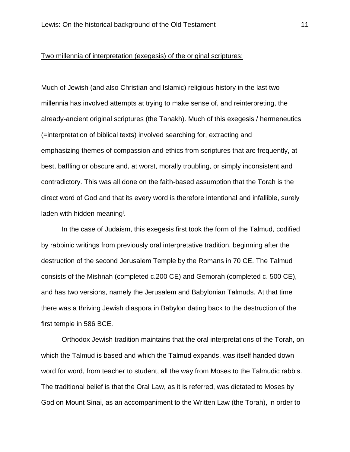#### Two millennia of interpretation (exegesis) of the original scriptures:

Much of Jewish (and also Christian and Islamic) religious history in the last two millennia has involved attempts at trying to make sense of, and reinterpreting, the already-ancient original scriptures (the Tanakh). Much of this exegesis / hermeneutics (=interpretation of biblical texts) involved searching for, extracting and emphasizing themes of compassion and ethics from scriptures that are frequently, at best, baffling or obscure and, at worst, morally troubling, or simply inconsistent and contradictory. This was all done on the faith-based assumption that the Torah is the direct word of God and that its every word is therefore intentional and infallible, surely laden with hidden meaning<sup>j</sup>.

In the case of Judaism, this exegesis first took the form of the Talmud, codified by rabbinic writings from previously oral interpretative tradition, beginning after the destruction of the second Jerusalem Temple by the Romans in 70 CE. The Talmud consists of the Mishnah (completed c.200 CE) and Gemorah (completed c. 500 CE), and has two versions, namely the Jerusalem and Babylonian Talmuds. At that time there was a thriving Jewish diaspora in Babylon dating back to the destruction of the first temple in 586 BCE.

Orthodox Jewish tradition maintains that the oral interpretations of the Torah, on which the Talmud is based and which the Talmud expands, was itself handed down word for word, from teacher to student, all the way from Moses to the Talmudic rabbis. The traditional belief is that the Oral Law, as it is referred, was dictated to Moses by God on Mount Sinai, as an accompaniment to the Written Law (the Torah), in order to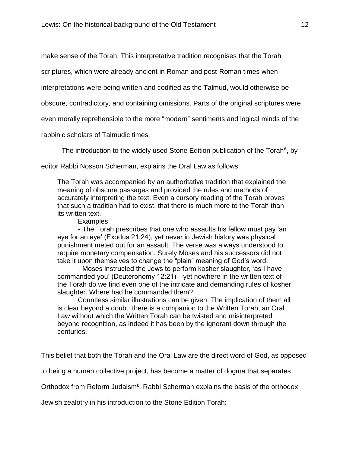make sense of the Torah. This interpretative tradition recognises that the Torah

scriptures, which were already ancient in Roman and post-Roman times when

interpretations were being written and codified as the Talmud, would otherwise be

obscure, contradictory, and containing omissions. Parts of the original scriptures were

even morally reprehensible to the more "modern" sentiments and logical minds of the

rabbinic scholars of Talmudic times.

The introduction to the widely used Stone Edition publication of the Torah<sup>6</sup>, by

editor Rabbi Nosson Scherman, explains the Oral Law as follows:

The Torah was accompanied by an authoritative tradition that explained the meaning of obscure passages and provided the rules and methods of accurately interpreting the text. Even a cursory reading of the Torah proves that such a tradition had to exist, that there is much more to the Torah than its written text.

Examples:

- The Torah prescribes that one who assaults his fellow must pay 'an eye for an eye' (Exodus 21:24), yet never in Jewish history was physical punishment meted out for an assault. The verse was always understood to require monetary compensation. Surely Moses and his successors did not take it upon themselves to change the "plain" meaning of God's word.

- Moses instructed the Jews to perform kosher slaughter, 'as I have commanded you' (Deuteronomy 12:21)—yet nowhere in the written text of the Torah do we find even one of the intricate and demanding rules of kosher slaughter. Where had he commanded them?

Countless similar illustrations can be given. The implication of them all is clear beyond a doubt: there is a companion to the Written Torah, an Oral Law without which the Written Torah can be twisted and misinterpreted beyond recognition, as indeed it has been by the ignorant down through the centuries.

This belief that both the Torah and the Oral Law are the direct word of God, as opposed

to being a human collective project, has become a matter of dogma that separates

Orthodox from Reform Judaism<sup>k</sup>. Rabbi Scherman explains the basis of the orthodox

Jewish zealotry in his introduction to the Stone Edition Torah: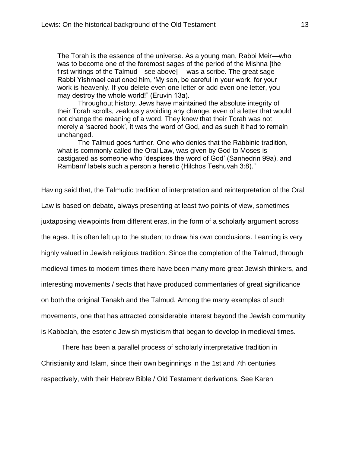The Torah is the essence of the universe. As a young man, Rabbi Meir—who was to become one of the foremost sages of the period of the Mishna [the first writings of the Talmud—see above] —was a scribe. The great sage Rabbi Yishmael cautioned him, 'My son, be careful in your work, for your work is heavenly. If you delete even one letter or add even one letter, you may destroy the whole world!" (Eruvin 13a).

Throughout history, Jews have maintained the absolute integrity of their Torah scrolls, zealously avoiding any change, even of a letter that would not change the meaning of a word. They knew that their Torah was not merely a 'sacred book', it was the word of God, and as such it had to remain unchanged.

The Talmud goes further. One who denies that the Rabbinic tradition, what is commonly called the Oral Law, was given by God to Moses is castigated as someone who 'despises the word of God' (Sanhedrin 99a), and Rambam<sup>i</sup> labels such a person a heretic (Hilchos Teshuvah 3:8)."

Having said that, the Talmudic tradition of interpretation and reinterpretation of the Oral Law is based on debate, always presenting at least two points of view, sometimes juxtaposing viewpoints from different eras, in the form of a scholarly argument across the ages. It is often left up to the student to draw his own conclusions. Learning is very highly valued in Jewish religious tradition. Since the completion of the Talmud, through medieval times to modern times there have been many more great Jewish thinkers, and interesting movements / sects that have produced commentaries of great significance on both the original Tanakh and the Talmud. Among the many examples of such movements, one that has attracted considerable interest beyond the Jewish community is Kabbalah, the esoteric Jewish mysticism that began to develop in medieval times.

There has been a parallel process of scholarly interpretative tradition in Christianity and Islam, since their own beginnings in the 1st and 7th centuries respectively, with their Hebrew Bible / Old Testament derivations. See Karen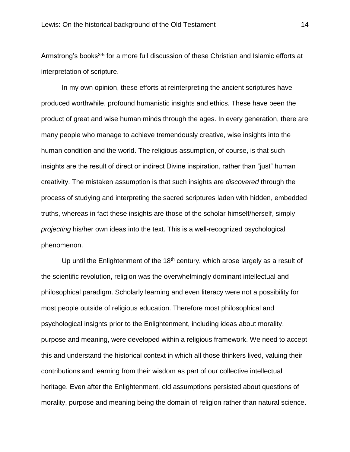Armstrong's books<sup>3-5</sup> for a more full discussion of these Christian and Islamic efforts at interpretation of scripture.

In my own opinion, these efforts at reinterpreting the ancient scriptures have produced worthwhile, profound humanistic insights and ethics. These have been the product of great and wise human minds through the ages. In every generation, there are many people who manage to achieve tremendously creative, wise insights into the human condition and the world. The religious assumption, of course, is that such insights are the result of direct or indirect Divine inspiration, rather than "just" human creativity. The mistaken assumption is that such insights are *discovered* through the process of studying and interpreting the sacred scriptures laden with hidden, embedded truths, whereas in fact these insights are those of the scholar himself/herself, simply *projecting* his/her own ideas into the text. This is a well-recognized psychological phenomenon.

Up until the Enlightenment of the  $18<sup>th</sup>$  century, which arose largely as a result of the scientific revolution, religion was the overwhelmingly dominant intellectual and philosophical paradigm. Scholarly learning and even literacy were not a possibility for most people outside of religious education. Therefore most philosophical and psychological insights prior to the Enlightenment, including ideas about morality, purpose and meaning, were developed within a religious framework. We need to accept this and understand the historical context in which all those thinkers lived, valuing their contributions and learning from their wisdom as part of our collective intellectual heritage. Even after the Enlightenment, old assumptions persisted about questions of morality, purpose and meaning being the domain of religion rather than natural science.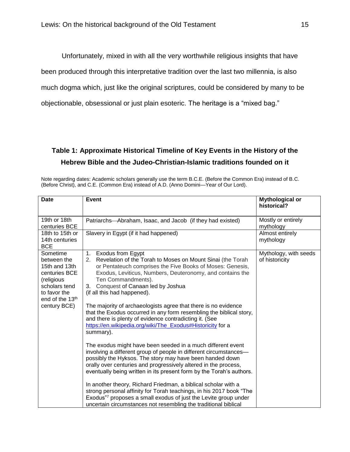Unfortunately, mixed in with all the very worthwhile religious insights that have been produced through this interpretative tradition over the last two millennia, is also much dogma which, just like the original scriptures, could be considered by many to be objectionable, obsessional or just plain esoteric. The heritage is a "mixed bag."

## **Table 1: Approximate Historical Timeline of Key Events in the History of the Hebrew Bible and the Judeo-Christian-Islamic traditions founded on it**

Note regarding dates: Academic scholars generally use the term B.C.E. (Before the Common Era) instead of B.C. (Before Christ), and C.E. (Common Era) instead of A.D. (Anno Domini—Year of Our Lord).

| <b>Date</b>                                                                                                                                 | Event                                                                                                                                                                                                                                                                                                                                                                                                                                                                                                                                                                                                                                                                                                                                                                                                                                                                                                                                                                                                                                                                                                                                                                                                                     | <b>Mythological or</b><br>historical?   |
|---------------------------------------------------------------------------------------------------------------------------------------------|---------------------------------------------------------------------------------------------------------------------------------------------------------------------------------------------------------------------------------------------------------------------------------------------------------------------------------------------------------------------------------------------------------------------------------------------------------------------------------------------------------------------------------------------------------------------------------------------------------------------------------------------------------------------------------------------------------------------------------------------------------------------------------------------------------------------------------------------------------------------------------------------------------------------------------------------------------------------------------------------------------------------------------------------------------------------------------------------------------------------------------------------------------------------------------------------------------------------------|-----------------------------------------|
| 19th or 18th<br>centuries BCE                                                                                                               | Patriarchs—Abraham, Isaac, and Jacob (if they had existed)                                                                                                                                                                                                                                                                                                                                                                                                                                                                                                                                                                                                                                                                                                                                                                                                                                                                                                                                                                                                                                                                                                                                                                | Mostly or entirely<br>mythology         |
| 18th to 15th or<br>14th centuries<br><b>BCE</b>                                                                                             | Slavery in Egypt (if it had happened)                                                                                                                                                                                                                                                                                                                                                                                                                                                                                                                                                                                                                                                                                                                                                                                                                                                                                                                                                                                                                                                                                                                                                                                     | Almost entirely<br>mythology            |
| Sometime<br>between the<br>15th and 13th<br>centuries BCE<br>(religious<br>scholars tend<br>to favor the<br>end of the 13th<br>century BCE) | 1. Exodus from Egypt<br>Revelation of the Torah to Moses on Mount Sinai (the Torah<br>2.<br>or Pentateuch comprises the Five Books of Moses: Genesis,<br>Exodus, Leviticus, Numbers, Deuteronomy, and contains the<br>Ten Commandments).<br>Conquest of Canaan led by Joshua<br>3.<br>(if all this had happened).<br>The majority of archaeologists agree that there is no evidence<br>that the Exodus occurred in any form resembling the biblical story,<br>and there is plenty of evidence contradicting it. (See<br>https://en.wikipedia.org/wiki/The_Exodus#Historicity for a<br>summary).<br>The exodus might have been seeded in a much different event<br>involving a different group of people in different circumstances—<br>possibly the Hyksos. The story may have been handed down<br>orally over centuries and progressively altered in the process,<br>eventually being written in its present form by the Torah's authors.<br>In another theory, Richard Friedman, a biblical scholar with a<br>strong personal affinity for Torah teachings, in his 2017 book "The<br>Exodus"? proposes a small exodus of just the Levite group under<br>uncertain circumstances not resembling the traditional biblical | Mythology, with seeds<br>of historicity |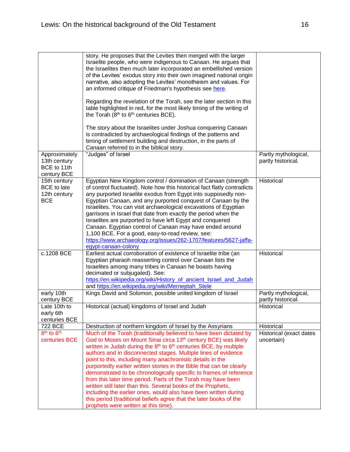|  |                                                                  | story. He proposes that the Levites then merged with the larger<br>Israelite people, who were indigenous to Canaan. He argues that<br>the Israelites then much later incorporated an embellished version<br>of the Levites' exodus story into their own imagined national origin<br>narrative, also adopting the Levites' monotheism and values. For<br>an informed critique of Friedman's hypothesis see here.                                                                                                                                                                                                                                                                           |                                            |
|--|------------------------------------------------------------------|-------------------------------------------------------------------------------------------------------------------------------------------------------------------------------------------------------------------------------------------------------------------------------------------------------------------------------------------------------------------------------------------------------------------------------------------------------------------------------------------------------------------------------------------------------------------------------------------------------------------------------------------------------------------------------------------|--------------------------------------------|
|  |                                                                  | Regarding the revelation of the Torah, see the later section in this<br>table highlighted in red, for the most likely timing of the writing of<br>the Torah (8th to 6th centuries BCE).                                                                                                                                                                                                                                                                                                                                                                                                                                                                                                   |                                            |
|  |                                                                  | The story about the Israelites under Joshua conquering Canaan<br>is contradicted by archaeological findings of the patterns and<br>timing of settlement building and destruction, in the parts of<br>Canaan referred to in the biblical story.                                                                                                                                                                                                                                                                                                                                                                                                                                            |                                            |
|  | Approximately<br>13th century<br>BCE to 11th<br>century BCE      | "Judges" of Israel                                                                                                                                                                                                                                                                                                                                                                                                                                                                                                                                                                                                                                                                        | Partly mythological,<br>partly historical. |
|  | 15th century<br><b>BCE</b> to late<br>12th century<br><b>BCE</b> | Egyptian New Kingdom control / domination of Canaan (strength<br>of control fluctuated). Note how this historical fact flatly contradicts<br>any purported Israelite exodus from Egypt into supposedly non-<br>Egyptian Canaan, and any purported conquest of Canaan by the<br>Israelites. You can visit archaeological excavations of Egyptian<br>garrisons in Israel that date from exactly the period when the<br>Israelites are purported to have left Egypt and conquered<br>Canaan. Egyptian control of Canaan may have ended around<br>1,100 BCE. For a good, easy-to-read review, see:<br>https://www.archaeology.org/issues/262-1707/features/5627-jaffa-<br>egypt-canaan-colony | Historical                                 |
|  | c.1208 BCE                                                       | Earliest actual corroboration of existence of Israelite tribe (an<br>Egyptian pharaoh reasserting control over Canaan lists the<br>Israelites among many tribes in Canaan he boasts having<br>decimated or subjugated). See:<br>https://en.wikipedia.org/wiki/History_of_ancient_Israel_and_Judah<br>and https://en.wikipedia.org/wiki/Merneptah_Stele                                                                                                                                                                                                                                                                                                                                    | Historical                                 |
|  | early 10th<br>century BCE                                        | Kings David and Solomon, possible united kingdom of Israel                                                                                                                                                                                                                                                                                                                                                                                                                                                                                                                                                                                                                                | Partly mythological,<br>partly historical. |
|  | Late 10th to<br>early 6th<br>centuries BCE                       | Historical (actual) kingdoms of Israel and Judah                                                                                                                                                                                                                                                                                                                                                                                                                                                                                                                                                                                                                                          | Historical                                 |
|  | 722 BCE                                                          | Destruction of northern kingdom of Israel by the Assyrians                                                                                                                                                                                                                                                                                                                                                                                                                                                                                                                                                                                                                                | Historical                                 |
|  | 8 <sup>th</sup> to 6 <sup>th</sup><br>centuries BCE              | Much of the Torah (traditionally believed to have been dictated by                                                                                                                                                                                                                                                                                                                                                                                                                                                                                                                                                                                                                        | Historical (exact dates                    |
|  |                                                                  | God to Moses on Mount Sinai circa 13 <sup>th</sup> century BCE) was likely<br>written in Judah during the 8 <sup>th</sup> to 6 <sup>th</sup> centuries BCE, by multiple                                                                                                                                                                                                                                                                                                                                                                                                                                                                                                                   | uncertain)                                 |
|  |                                                                  | authors and in disconnected stages. Multiple lines of evidence                                                                                                                                                                                                                                                                                                                                                                                                                                                                                                                                                                                                                            |                                            |
|  |                                                                  | point to this, including many anachronistic details in the<br>purportedly earlier written stories in the Bible that can be clearly                                                                                                                                                                                                                                                                                                                                                                                                                                                                                                                                                        |                                            |
|  |                                                                  | demonstrated to be chronologically specific to frames of reference                                                                                                                                                                                                                                                                                                                                                                                                                                                                                                                                                                                                                        |                                            |
|  |                                                                  | from this later time period. Parts of the Torah may have been                                                                                                                                                                                                                                                                                                                                                                                                                                                                                                                                                                                                                             |                                            |
|  |                                                                  | written still later than this. Several books of the Prophets,                                                                                                                                                                                                                                                                                                                                                                                                                                                                                                                                                                                                                             |                                            |
|  |                                                                  | including the earlier ones, would also have been written during                                                                                                                                                                                                                                                                                                                                                                                                                                                                                                                                                                                                                           |                                            |
|  |                                                                  | this period (traditional beliefs agree that the later books of the<br>prophets were written at this time).                                                                                                                                                                                                                                                                                                                                                                                                                                                                                                                                                                                |                                            |
|  |                                                                  |                                                                                                                                                                                                                                                                                                                                                                                                                                                                                                                                                                                                                                                                                           |                                            |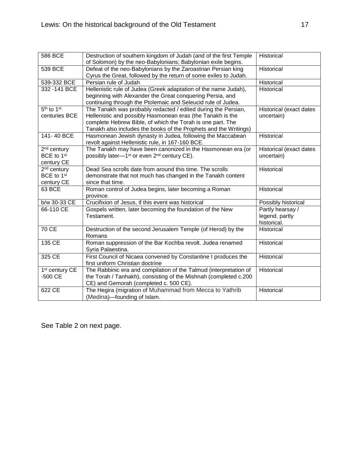| 586 BCE                            | Destruction of southern kingdom of Judah (and of the first Temple      | Historical              |
|------------------------------------|------------------------------------------------------------------------|-------------------------|
|                                    | of Solomon) by the neo-Babylonians; Babylonian exile begins.           |                         |
| 539 BCE                            | Defeat of the neo-Babylonians by the Zaroastrian Persian king          | Historical              |
|                                    | Cyrus the Great, followed by the return of some exiles to Judah.       |                         |
| 539-332 BCE                        | Persian rule of Judah                                                  | Historical              |
| 332-141 BCE                        | Hellenistic rule of Judea (Greek adaptation of the name Judah),        | Historical              |
|                                    | beginning with Alexander the Great conquering Persia, and              |                         |
|                                    | continuing through the Ptolemaic and Seleucid rule of Judea.           |                         |
| 5 <sup>th</sup> to 1 <sup>st</sup> | The Tanakh was probably redacted / edited during the Persian,          | Historical (exact dates |
| centuries BCE                      | Hellenistic and possibly Hasmonean eras (the Tanakh is the             | uncertain)              |
|                                    | complete Hebrew Bible, of which the Torah is one part. The             |                         |
|                                    | Tanakh also includes the books of the Prophets and the Writings)       |                         |
| 141-40 BCE                         | Hasmonean Jewish dynasty in Judea, following the Maccabean             | Historical              |
|                                    | revolt against Hellenistic rule, in 167-160 BCE.                       |                         |
| $2nd$ century                      | The Tanakh may have been canonized in the Hasmonean era (or            | Historical (exact dates |
| BCE to 1 <sup>st</sup>             | possibly later—1 <sup>st</sup> or even 2 <sup>nd</sup> century CE).    | uncertain)              |
| century CE                         |                                                                        |                         |
| $2nd$ century                      | Dead Sea scrolls date from around this time. The scrolls               | Historical              |
| BCE to 1 <sup>st</sup>             | demonstrate that not much has changed in the Tanakh content            |                         |
| century CE                         | since that time.                                                       |                         |
| 63 BCE                             | Roman control of Judea begins, later becoming a Roman                  | Historical              |
|                                    | province.                                                              |                         |
| b/w 30-33 CE                       | Crucifixion of Jesus, if this event was historical                     | Possibly historical     |
| 66-110 CE                          | Gospels written, later becoming the foundation of the New              | Partly hearsay /        |
|                                    | Testament.                                                             | legend, partly          |
|                                    |                                                                        | historical.             |
| 70 CE                              | Destruction of the second Jerusalem Temple (of Herod) by the<br>Romans | Historical              |
| 135 CE                             | Roman suppression of the Bar Kochba revolt. Judea renamed              | Historical              |
|                                    | Syria Palaestina.                                                      |                         |
| 325 CE                             | First Council of Nicaea convened by Constantine I produces the         | Historical              |
|                                    | first uniform Christian doctrine                                       |                         |
| $\overline{1^{st}}$ century CE     | The Rabbinic era and compilation of the Talmud (interpretation of      | Historical              |
| $-500$ CE                          | the Torah / Tanhakh), consisting of the Mishnah (completed c.200       |                         |
|                                    | CE) and Gemorah (completed c. 500 CE).                                 |                         |
| 622 CE                             | The Hegira (migration of Muhammad from Mecca to Yathrib                | Historical              |
|                                    | (Medina)-founding of Islam.                                            |                         |

See Table 2 on next page.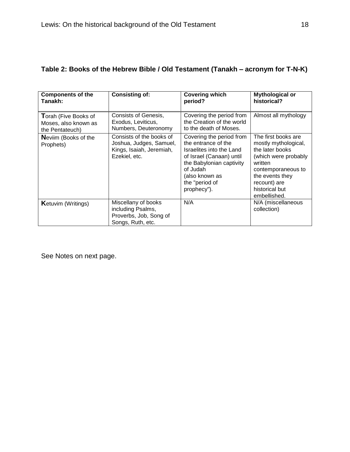| <b>Components of the</b>                 | <b>Consisting of:</b>                                                                            | <b>Covering which</b>                                                                                                                                                                              | <b>Mythological or</b>                                                                                                                                                                       |
|------------------------------------------|--------------------------------------------------------------------------------------------------|----------------------------------------------------------------------------------------------------------------------------------------------------------------------------------------------------|----------------------------------------------------------------------------------------------------------------------------------------------------------------------------------------------|
| Tanakh:                                  |                                                                                                  | period?                                                                                                                                                                                            | historical?                                                                                                                                                                                  |
| Torah (Five Books of                     | <b>Consists of Genesis,</b>                                                                      | Covering the period from                                                                                                                                                                           | Almost all mythology                                                                                                                                                                         |
| Moses, also known as                     | Exodus, Leviticus,                                                                               | the Creation of the world                                                                                                                                                                          |                                                                                                                                                                                              |
| the Pentateuch)                          | Numbers, Deuteronomy                                                                             | to the death of Moses.                                                                                                                                                                             |                                                                                                                                                                                              |
| <b>Nevilm (Books of the</b><br>Prophets) | Consists of the books of<br>Joshua, Judges, Samuel,<br>Kings, Isaiah, Jeremiah,<br>Ezekiel, etc. | Covering the period from<br>the entrance of the<br>Israelites into the Land<br>of Israel (Canaan) until<br>the Babylonian captivity<br>of Judah<br>(also known as<br>the "period of<br>prophecy"). | The first books are<br>mostly mythological,<br>the later books<br>(which were probably<br>written<br>contemporaneous to<br>the events they<br>recount) are<br>historical but<br>embellished. |
| <b>K</b> etuvim (Writings)               | Miscellany of books<br>including Psalms,<br>Proverbs, Job, Song of<br>Songs, Ruth, etc.          | N/A                                                                                                                                                                                                | N/A (miscellaneous<br>collection)                                                                                                                                                            |

## **Table 2: Books of the Hebrew Bible / Old Testament (Tanakh – acronym for T-N-K)**

See Notes on next page.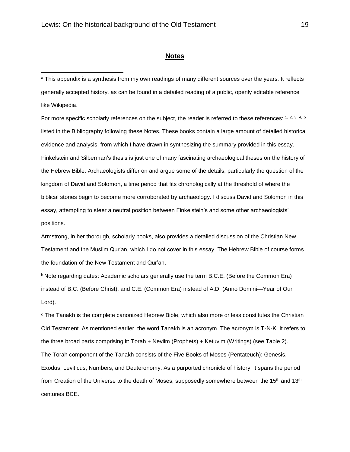$\overline{a}$ 

#### **Notes**

<sup>a</sup> This appendix is a synthesis from my own readings of many different sources over the years. It reflects generally accepted history, as can be found in a detailed reading of a public, openly editable reference like Wikipedia.

For more specific scholarly references on the subject, the reader is referred to these references: 1, 2, 3, 4, 5 listed in the Bibliography following these Notes. These books contain a large amount of detailed historical evidence and analysis, from which I have drawn in synthesizing the summary provided in this essay. Finkelstein and Silberman's thesis is just one of many fascinating archaeological theses on the history of the Hebrew Bible. Archaeologists differ on and argue some of the details, particularly the question of the kingdom of David and Solomon, a time period that fits chronologically at the threshold of where the biblical stories begin to become more corroborated by archaeology. I discuss David and Solomon in this essay, attempting to steer a neutral position between Finkelstein's and some other archaeologists' positions.

Armstrong, in her thorough, scholarly books, also provides a detailed discussion of the Christian New Testament and the Muslim Qur'an, which I do not cover in this essay. The Hebrew Bible of course forms the foundation of the New Testament and Qur'an.

<sup>b</sup> Note regarding dates: Academic scholars generally use the term B.C.E. (Before the Common Era) instead of B.C. (Before Christ), and C.E. (Common Era) instead of A.D. (Anno Domini—Year of Our Lord).

<sup>c</sup> The Tanakh is the complete canonized Hebrew Bible, which also more or less constitutes the Christian Old Testament. As mentioned earlier, the word Tanakh is an acronym. The acronym is T-N-K. It refers to the three broad parts comprising it: Torah + Neviim (Prophets) + Ketuvim (Writings) (see Table 2). The Torah component of the Tanakh consists of the Five Books of Moses (Pentateuch): Genesis, Exodus, Leviticus, Numbers, and Deuteronomy. As a purported chronicle of history, it spans the period from Creation of the Universe to the death of Moses, supposedly somewhere between the 15<sup>th</sup> and 13<sup>th</sup> centuries BCE.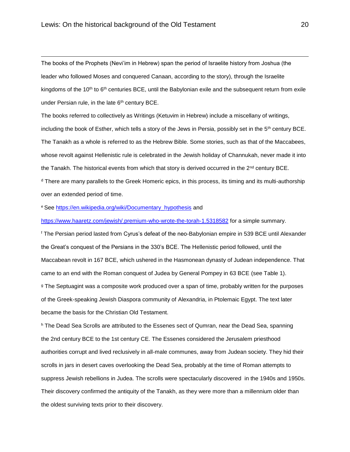$\overline{a}$ 

The books of the Prophets (Nevi'im in Hebrew) span the period of Israelite history from Joshua (the leader who followed Moses and conquered Canaan, according to the story), through the Israelite kingdoms of the 10<sup>th</sup> to 6<sup>th</sup> centuries BCE, until the Babylonian exile and the subsequent return from exile under Persian rule, in the late 6<sup>th</sup> century BCE.

The books referred to collectively as Writings (Ketuvim in Hebrew) include a miscellany of writings, including the book of Esther, which tells a story of the Jews in Persia, possibly set in the 5<sup>th</sup> century BCE. The Tanakh as a whole is referred to as the Hebrew Bible. Some stories, such as that of the Maccabees, whose revolt against Hellenistic rule is celebrated in the Jewish holiday of Channukah, never made it into the Tanakh. The historical events from which that story is derived occurred in the 2<sup>nd</sup> century BCE. <sup>d</sup> There are many parallels to the Greek Homeric epics, in this process, its timing and its multi-authorship over an extended period of time.

<sup>e</sup> See [https://en.wikipedia.org/wiki/Documentary\\_hypothesis](https://en.wikipedia.org/wiki/Documentary_hypothesis) and

<https://www.haaretz.com/jewish/.premium-who-wrote-the-torah-1.5318582> for a simple summary.

<sup>f</sup> The Persian period lasted from Cyrus's defeat of the neo-Babylonian empire in 539 BCE until Alexander the Great's conquest of the Persians in the 330's BCE. The Hellenistic period followed, until the Maccabean revolt in 167 BCE, which ushered in the Hasmonean dynasty of Judean independence. That came to an end with the Roman conquest of Judea by General Pompey in 63 BCE (see Table 1). <sup>g</sup> The Septuagint was a composite work produced over a span of time, probably written for the purposes of the Greek-speaking Jewish Diaspora community of Alexandria, in Ptolemaic Egypt. The text later became the basis for the Christian Old Testament.

h The Dead Sea Scrolls are attributed to the Essenes sect of Qumran, near the Dead Sea, spanning the 2nd century BCE to the 1st century CE. The Essenes considered the Jerusalem priesthood authorities corrupt and lived reclusively in all-male communes, away from Judean society. They hid their scrolls in jars in desert caves overlooking the Dead Sea, probably at the time of Roman attempts to suppress Jewish rebellions in Judea. The scrolls were spectacularly discovered in the 1940s and 1950s. Their discovery confirmed the antiquity of the Tanakh, as they were more than a millennium older than the oldest surviving texts prior to their discovery.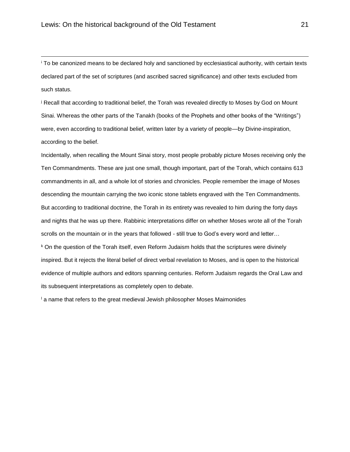$\overline{a}$ 

<sup>i</sup> To be canonized means to be declared holy and sanctioned by ecclesiastical authority, with certain texts declared part of the set of scriptures (and ascribed sacred significance) and other texts excluded from such status.

<sup>j</sup> Recall that according to traditional belief, the Torah was revealed directly to Moses by God on Mount Sinai. Whereas the other parts of the Tanakh (books of the Prophets and other books of the "Writings") were, even according to traditional belief, written later by a variety of people—by Divine-inspiration, according to the belief.

Incidentally, when recalling the Mount Sinai story, most people probably picture Moses receiving only the Ten Commandments. These are just one small, though important, part of the Torah, which contains 613 commandments in all, and a whole lot of stories and chronicles. People remember the image of Moses descending the mountain carrying the two iconic stone tablets engraved with the Ten Commandments. But according to traditional doctrine, the Torah in its entirety was revealed to him during the forty days and nights that he was up there. Rabbinic interpretations differ on whether Moses wrote all of the Torah scrolls on the mountain or in the years that followed - still true to God's every word and letter...

<sup>k</sup> On the question of the Torah itself, even Reform Judaism holds that the scriptures were divinely inspired. But it rejects the literal belief of direct verbal revelation to Moses, and is open to the historical evidence of multiple authors and editors spanning centuries. Reform Judaism regards the Oral Law and its subsequent interpretations as completely open to debate.

 $\frac{1}{2}$  a name that refers to the great medieval Jewish philosopher Moses Maimonides